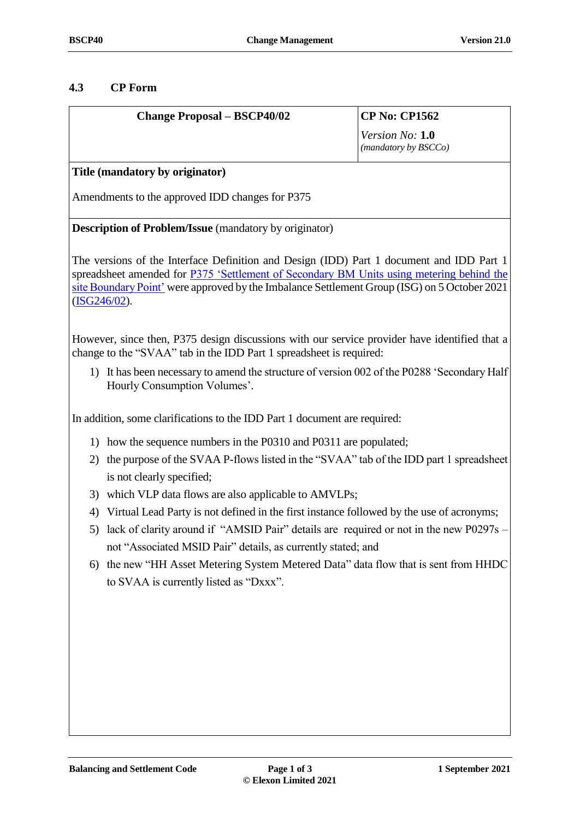### **4.3 CP Form**

| <b>Change Proposal - BSCP40/02</b>                                                                                                                                                   | <b>CP No: CP1562</b>                    |
|--------------------------------------------------------------------------------------------------------------------------------------------------------------------------------------|-----------------------------------------|
|                                                                                                                                                                                      | Version No: 1.0<br>(mandatory by BSCCo) |
| Title (mandatory by originator)                                                                                                                                                      |                                         |
| Amendments to the approved IDD changes for P375                                                                                                                                      |                                         |
| <b>Description of Problem/Issue</b> (mandatory by originator)                                                                                                                        |                                         |
| The versions of the Interface Definition and Design (IDD) Part 1 document and IDD Part 1<br>spreadsheet amended for P375 'Settlement of Secondary BM Units using metering behind the |                                         |

[site Boundary Point'](https://www.elexon.co.uk/mod-proposal/p375/) were approved by the Imbalance Settlement Group (ISG) on 5 October 2021 [\(ISG246/02\)](https://www.elexon.co.uk/meeting/isg246/).

However, since then, P375 design discussions with our service provider have identified that a change to the "SVAA" tab in the IDD Part 1 spreadsheet is required:

1) It has been necessary to amend the structure of version 002 of the P0288 'Secondary Half Hourly Consumption Volumes'.

In addition, some clarifications to the IDD Part 1 document are required:

- 1) how the sequence numbers in the P0310 and P0311 are populated;
- 2) the purpose of the SVAA P-flows listed in the "SVAA" tab of the IDD part 1 spreadsheet is not clearly specified;
- 3) which VLP data flows are also applicable to AMVLPs;
- 4) Virtual Lead Party is not defined in the first instance followed by the use of acronyms;
- 5) lack of clarity around if "AMSID Pair" details are required or not in the new P0297s not "Associated MSID Pair" details, as currently stated; and
- 6) the new "HH Asset Metering System Metered Data" data flow that is sent from HHDC to SVAA is currently listed as "Dxxx".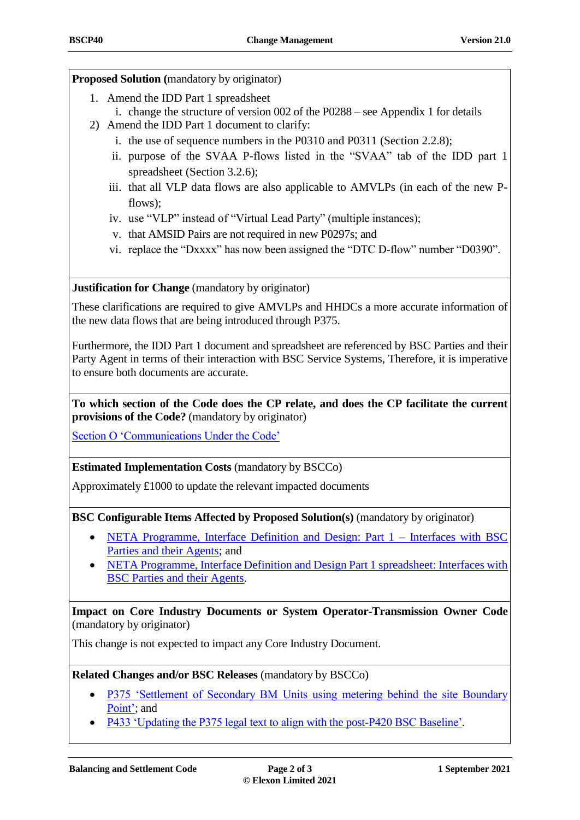# **Proposed Solution (**mandatory by originator)

- 1. Amend the IDD Part 1 spreadsheet
	- i. change the structure of version 002 of the P0288 see Appendix 1 for details
- 2) Amend the IDD Part 1 document to clarify:
	- i. the use of sequence numbers in the P0310 and P0311 (Section 2.2.8);
	- ii. purpose of the SVAA P-flows listed in the "SVAA" tab of the IDD part 1 spreadsheet (Section 3.2.6);
	- iii. that all VLP data flows are also applicable to AMVLPs (in each of the new Pflows);
	- iv. use "VLP" instead of "Virtual Lead Party" (multiple instances);
	- v. that AMSID Pairs are not required in new P0297s; and
	- vi. replace the "Dxxxx" has now been assigned the "DTC D-flow" number "D0390".

**Justification for Change** (mandatory by originator)

These clarifications are required to give AMVLPs and HHDCs a more accurate information of the new data flows that are being introduced through P375.

Furthermore, the IDD Part 1 document and spreadsheet are referenced by BSC Parties and their Party Agent in terms of their interaction with BSC Service Systems, Therefore, it is imperative to ensure both documents are accurate.

**To which section of the Code does the CP relate, and does the CP facilitate the current provisions of the Code?** (mandatory by originator)

[Section O 'Communications Under the Code'](https://www.elexon.co.uk/the-bsc/bsc-section-o-communications-under-the-code/)

# **Estimated Implementation Costs** (mandatory by BSCCo)

Approximately £1000 to update the relevant impacted documents

**BSC Configurable Items Affected by Proposed Solution(s)** (mandatory by originator)

- [NETA Programme, Interface Definition and Design: Part 1 –](https://www.elexon.co.uk/csd/neta-programme-interface-definition-and-design-part-1-interfaces-with-bsc-parties-and-their-agents/) Interfaces with BSC [Parties and their Agents;](https://www.elexon.co.uk/csd/neta-programme-interface-definition-and-design-part-1-interfaces-with-bsc-parties-and-their-agents/) and
- [NETA Programme, Interface Definition and Design Part 1](https://www.elexon.co.uk/csd/interface-definition-and-design-part-1-interfaces-with-bsc-parties-and-their-agents/) spreadsheet: Interfaces with [BSC Parties and their Agents.](https://www.elexon.co.uk/csd/interface-definition-and-design-part-1-interfaces-with-bsc-parties-and-their-agents/)

**Impact on Core Industry Documents or System Operator-Transmission Owner Code**  (mandatory by originator)

This change is not expected to impact any Core Industry Document.

**Related Changes and/or BSC Releases** (mandatory by BSCCo)

- [P375 'Settlement of Secondary BM Units using metering behind the site Boundary](https://www.elexon.co.uk/mod-proposal/p375/)  [Point';](https://www.elexon.co.uk/mod-proposal/p375/) and
- [P433 'Updating the P375 legal text to align with the post-P420 BSC Baseline'.](https://www.elexon.co.uk/mod-proposal/p433/)